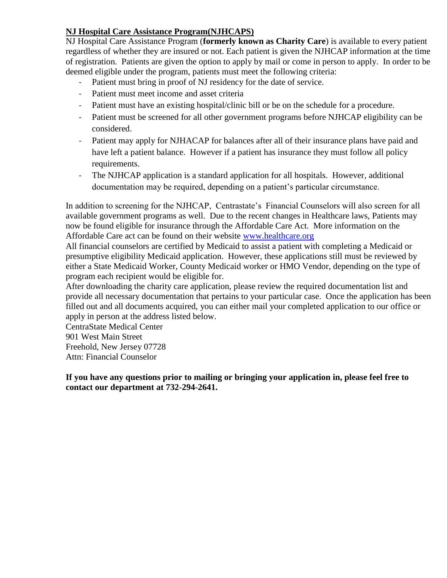# **NJ Hospital Care Assistance Program(NJHCAPS)**

 deemed eligible under the program, patients must meet the following criteria: NJ Hospital Care Assistance Program (**formerly known as Charity Care**) is available to every patient regardless of whether they are insured or not. Each patient is given the NJHCAP information at the time of registration. Patients are given the option to apply by mail or come in person to apply. In order to be

- Patient must bring in proof of NJ residency for the date of service.
- Patient must meet income and asset criteria
- Patient must have an existing hospital/clinic bill or be on the schedule for a procedure.
- Patient must be screened for all other government programs before NJHCAP eligibility can be considered.
- Patient may apply for NJHACAP for balances after all of their insurance plans have paid and have left a patient balance. However if a patient has insurance they must follow all policy requirements.
- The NJHCAP application is a standard application for all hospitals. However, additional documentation may be required, depending on a patient's particular circumstance.

Affordable Care act can be found on their website www.healthcare.org In addition to screening for the NJHCAP, Centrastate's Financial Counselors will also screen for all available government programs as well. Due to the recent changes in Healthcare laws, Patients may now be found eligible for insurance through the Affordable Care Act. More information on the

 either a State Medicaid Worker, County Medicaid worker or HMO Vendor, depending on the type of All financial counselors are certified by Medicaid to assist a patient with completing a Medicaid or presumptive eligibility Medicaid application. However, these applications still must be reviewed by program each recipient would be eligible for.

 filled out and all documents acquired, you can either mail your completed application to our office or After downloading the charity care application, please review the required documentation list and provide all necessary documentation that pertains to your particular case. Once the application has been apply in person at the address listed below.

CentraState Medical Center 901 West Main Street Freehold, New Jersey 07728 Attn: Financial Counselor

**If you have any questions prior to mailing or bringing your application in, please feel free to contact our department at 732-294-2641.**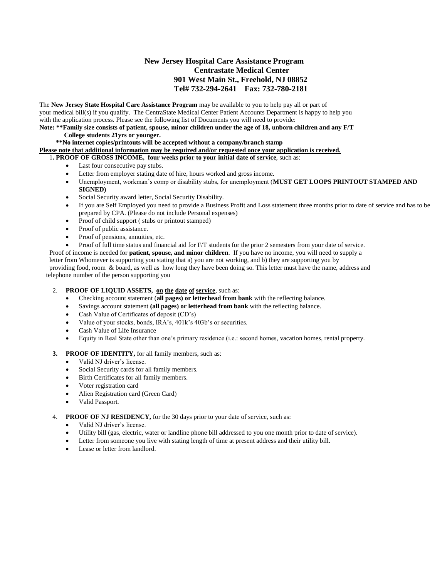# **Tel# 732-294-2641 Fax: 732-780-2181 New Jersey Hospital Care Assistance Program Centrastate Medical Center 901 West Main St., Freehold, NJ 08852**

 The **New Jersey State Hospital Care Assistance Program** may be available to you to help pay all or part of your medical bill(s) if you qualify. The CentraState Medical Center Patient Accounts Department is happy to help you with the application process. Please see the following list of Documents you will need to provide:

 **Note: \*\*Family size consists of patient, spouse, minor children under the age of 18, unborn children and any F/T College students 21yrs or younger.** 

## **\*\*No internet copies/printouts will be accepted without a company/branch stamp**

 **Please note that additional information may be required and/or requested once your application is received.** 

1**. PROOF OF GROSS INCOME, four weeks prior to your initial date of service**, such as:

- Last four consecutive pay stubs.
- Letter from employer stating date of hire, hours worked and gross income.
- Unemployment, workman's comp or disability stubs, for unemployment (**MUST GET LOOPS PRINTOUT STAMPED AND SIGNED)**
- Social Security award letter, Social Security Disability.
- If you are Self Employed you need to provide a Business Profit and Loss statement three months prior to date of service and has to be prepared by CPA. (Please do not include Personal expenses)
- Proof of child support ( stubs or printout stamped)
- Proof of public assistance.
- Proof of pensions, annuities, etc.

• Proof of full time status and financial aid for F/T students for the prior 2 semesters from your date of service. Proof of income is needed for **patient, spouse, and minor children**. If you have no income, you will need to supply a letter from Whomever is supporting you stating that a) you are not working, and b) they are supporting you by providing food, room & board, as well as how long they have been doing so. This letter must have the name, address and

telephone number of the person supporting you

### 2. **PROOF OF LIQUID ASSETS, on the date of service**, such as:

- Checking account statement (**all pages) or letterhead from bank** with the reflecting balance.
- Savings account statement **(all pages) or letterhead from bank** with the reflecting balance.
- Cash Value of Certificates of deposit (CD's)
- Value of your stocks, bonds, IRA's, 401k's 403b's or securities.
- Cash Value of Life Insurance
- Equity in Real State other than one's primary residence (i.e.: second homes, vacation homes, rental property.

### **3. PROOF OF IDENTITY,** for all family members, such as:

- Valid NJ driver's license.
- Social Security cards for all family members.
- Birth Certificates for all family members.
- Voter registration card
- Alien Registration card (Green Card)
- Valid Passport.

### 4. **PROOF OF NJ RESIDENCY,** for the 30 days prior to your date of service, such as:

- Valid NJ driver's license.
- Utility bill (gas, electric, water or landline phone bill addressed to you one month prior to date of service).
- Letter from someone you live with stating length of time at present address and their utility bill.
- Lease or letter from landlord.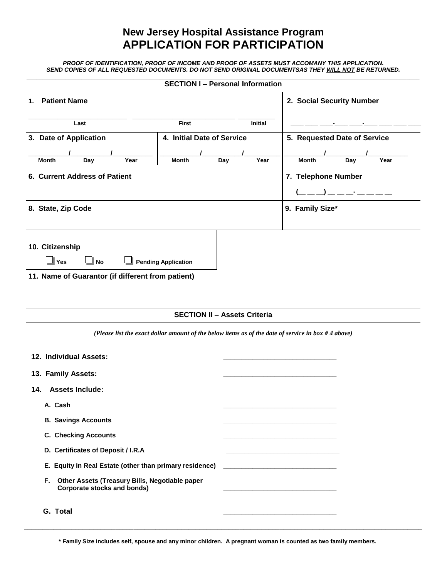# **New Jersey Hospital Assistance Program APPLICATION FOR PARTICIPATION**

 *PROOF OF IDENTIFICATION, PROOF OF INCOME AND PROOF OF ASSETS MUST ACCOMANY THIS APPLICATION. SEND COPIES OF ALL REQUESTED DOCUMENTS. DO NOT SEND ORIGINAL DOCUMENTSAS THEY WILL NOT BE RETURNED.* 

| <b>SECTION I - Personal Information</b><br>2. Social Security Number<br><b>Patient Name</b><br><b>First</b><br>Last<br>Initial<br>4. Initial Date of Service<br>5. Requested Date of Service<br>Year<br>Year<br>Day<br>Year<br><b>Month</b><br>Day<br><b>Month</b><br>Day<br>Month<br>7. Telephone Number<br><u> 1990 - Francis III, prima politik</u><br>9. Family Size*<br>⊿l Yes<br><b>Pending Application</b><br>No الـــ |
|-------------------------------------------------------------------------------------------------------------------------------------------------------------------------------------------------------------------------------------------------------------------------------------------------------------------------------------------------------------------------------------------------------------------------------|
| 1.                                                                                                                                                                                                                                                                                                                                                                                                                            |
| 3. Date of Application<br>6. Current Address of Patient<br>8. State, Zip Code<br>10. Citizenship<br>11. Name of Guarantor (if different from patient)                                                                                                                                                                                                                                                                         |
|                                                                                                                                                                                                                                                                                                                                                                                                                               |
|                                                                                                                                                                                                                                                                                                                                                                                                                               |
|                                                                                                                                                                                                                                                                                                                                                                                                                               |
|                                                                                                                                                                                                                                                                                                                                                                                                                               |
|                                                                                                                                                                                                                                                                                                                                                                                                                               |
|                                                                                                                                                                                                                                                                                                                                                                                                                               |
|                                                                                                                                                                                                                                                                                                                                                                                                                               |
|                                                                                                                                                                                                                                                                                                                                                                                                                               |
|                                                                                                                                                                                                                                                                                                                                                                                                                               |
|                                                                                                                                                                                                                                                                                                                                                                                                                               |
|                                                                                                                                                                                                                                                                                                                                                                                                                               |
|                                                                                                                                                                                                                                                                                                                                                                                                                               |
|                                                                                                                                                                                                                                                                                                                                                                                                                               |
|                                                                                                                                                                                                                                                                                                                                                                                                                               |
| <b>SECTION II - Assets Criteria</b>                                                                                                                                                                                                                                                                                                                                                                                           |
| (Please list the exact dollar amount of the below items as of the date of service in box #4 above)                                                                                                                                                                                                                                                                                                                            |
| 12. Individual Assets:                                                                                                                                                                                                                                                                                                                                                                                                        |
| 13. Family Assets:                                                                                                                                                                                                                                                                                                                                                                                                            |
| <b>Assets Include:</b><br>14.                                                                                                                                                                                                                                                                                                                                                                                                 |
| A. Cash                                                                                                                                                                                                                                                                                                                                                                                                                       |
| <b>B. Savings Accounts</b>                                                                                                                                                                                                                                                                                                                                                                                                    |
| <b>C. Checking Accounts</b>                                                                                                                                                                                                                                                                                                                                                                                                   |
|                                                                                                                                                                                                                                                                                                                                                                                                                               |
| D. Certificates of Deposit / I.R.A                                                                                                                                                                                                                                                                                                                                                                                            |
| E. Equity in Real Estate (other than primary residence)                                                                                                                                                                                                                                                                                                                                                                       |
| Other Assets (Treasury Bills, Negotiable paper<br>F.<br><b>Corporate stocks and bonds)</b>                                                                                                                                                                                                                                                                                                                                    |
|                                                                                                                                                                                                                                                                                                                                                                                                                               |

**\* Family Size includes self, spouse and any minor children. A pregnant woman is counted as two family members.** 

**\_\_\_\_\_\_\_\_\_\_\_\_\_\_\_\_\_\_\_\_\_\_\_\_\_\_\_\_\_\_\_\_\_\_\_\_\_\_\_\_\_\_\_\_\_\_\_\_\_\_\_\_\_\_\_\_\_\_\_\_\_\_\_\_\_\_\_\_\_\_\_\_\_\_\_\_\_\_\_\_\_\_\_\_\_\_\_\_\_\_\_\_\_\_\_\_\_\_\_\_\_\_\_\_\_\_\_\_\_**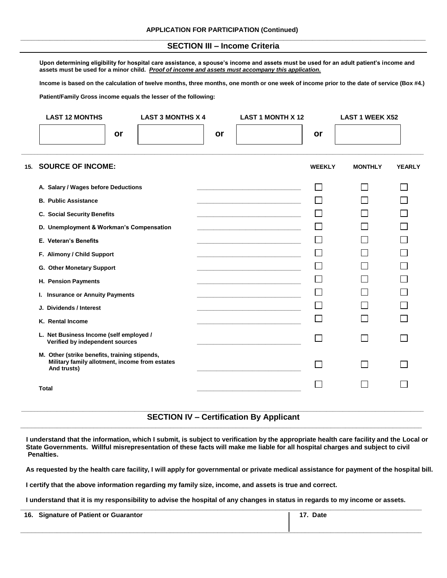## **SECTION III – Income Criteria**

Upon determining eligibility for hospital care assistance, a spouse's income and assets must be used for an adult patient's income and  **assets must be used for a minor child.** *Proof of income and assets must accompany this application.* 

 **Income is based on the calculation of twelve months, three months, one month or one week of income prior to the date of service (Box #4.)** 

 **Patient/Family Gross income equals the lesser of the following:** 

|     | <b>LAST 12 MONTHS</b>                                                                                          | <b>LAST 3 MONTHS X 4</b> |    | <b>LAST 1 MONTH X 12</b>                                                                                                                                                                                                             |               | <b>LAST 1 WEEK X52</b> |               |
|-----|----------------------------------------------------------------------------------------------------------------|--------------------------|----|--------------------------------------------------------------------------------------------------------------------------------------------------------------------------------------------------------------------------------------|---------------|------------------------|---------------|
|     | or                                                                                                             |                          | or |                                                                                                                                                                                                                                      | or            |                        |               |
| 15. | <b>SOURCE OF INCOME:</b>                                                                                       |                          |    |                                                                                                                                                                                                                                      | <b>WEEKLY</b> | <b>MONTHLY</b>         | <b>YEARLY</b> |
|     | A. Salary / Wages before Deductions                                                                            |                          |    |                                                                                                                                                                                                                                      |               |                        |               |
|     | <b>B. Public Assistance</b>                                                                                    |                          |    |                                                                                                                                                                                                                                      |               |                        |               |
|     | <b>C. Social Security Benefits</b>                                                                             |                          |    | the control of the control of the control of the control of the control of                                                                                                                                                           |               |                        |               |
|     | D. Unemployment & Workman's Compensation                                                                       |                          |    |                                                                                                                                                                                                                                      |               |                        |               |
|     | E. Veteran's Benefits                                                                                          |                          |    | <u> 1989 - Johann John Harry Harry Harry Harry Harry Harry Harry Harry Harry Harry Harry Harry Harry Harry Harry Harry Harry Harry Harry Harry Harry Harry Harry Harry Harry Harry Harry Harry Harry Harry Harry Harry Harry Har</u> |               |                        |               |
|     | F. Alimony / Child Support                                                                                     |                          |    |                                                                                                                                                                                                                                      |               |                        |               |
|     | G. Other Monetary Support                                                                                      |                          |    |                                                                                                                                                                                                                                      |               |                        |               |
|     | H. Pension Payments                                                                                            |                          |    |                                                                                                                                                                                                                                      |               |                        |               |
|     | I. Insurance or Annuity Payments                                                                               |                          |    |                                                                                                                                                                                                                                      |               |                        |               |
|     | J. Dividends / Interest                                                                                        |                          |    |                                                                                                                                                                                                                                      |               |                        |               |
|     | K. Rental Income                                                                                               |                          |    |                                                                                                                                                                                                                                      |               |                        |               |
|     | L. Net Business Income (self employed /<br>Verified by independent sources                                     |                          |    |                                                                                                                                                                                                                                      |               |                        |               |
|     | M. Other (strike benefits, training stipends,<br>Military family allotment, income from estates<br>And trusts) |                          |    |                                                                                                                                                                                                                                      |               |                        |               |
|     | <b>Total</b>                                                                                                   |                          |    |                                                                                                                                                                                                                                      |               |                        |               |

### **SECTION IV – Certification By Applicant \_\_\_\_\_\_\_\_\_\_\_\_\_\_\_\_\_\_\_\_\_\_\_\_\_\_\_\_\_\_\_\_\_\_\_\_\_\_\_\_\_\_\_\_\_\_\_\_\_\_\_\_\_\_\_\_\_\_\_\_\_\_\_\_\_\_\_\_\_\_\_\_\_\_\_\_\_\_\_\_\_\_\_\_\_\_\_\_\_\_\_\_\_\_\_\_\_\_\_\_\_\_\_\_\_\_\_\_\_\_\_\_\_\_\_\_\_\_\_\_\_\_\_\_ \_\_\_\_\_\_\_\_\_\_\_\_\_\_\_\_\_\_\_\_\_\_\_\_\_\_\_\_\_\_\_\_\_\_\_\_\_\_\_\_\_\_\_\_\_\_\_\_\_\_\_\_\_\_\_\_\_\_\_\_\_\_\_\_\_\_\_\_\_\_\_\_\_\_\_\_\_\_\_\_\_\_\_\_\_\_\_\_\_\_\_\_\_\_\_\_\_\_\_\_\_\_\_\_\_\_\_\_\_\_**

**I understand that the information, which I submit, is subject to verification by the appropriate health care facility and the Local or State Governments. Willful misrepresentation of these facts will make me liable for all hospital charges and subject to civil Penalties.** 

**As requested by the health care facility, I will apply for governmental or private medical assistance for payment of the hospital bill.** 

**I certify that the above information regarding my family size, income, and assets is true and correct.** 

**I understand that it is my responsibility to advise the hospital of any changes in status in regards to my income or assets.** 

| 16. Signature of Patient or Guarantor | Date |
|---------------------------------------|------|
|                                       |      |
|                                       |      |
|                                       |      |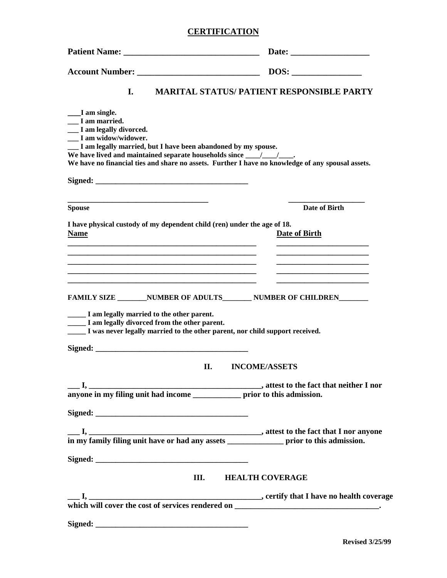# **CERTIFICATION**

|                                                                                                                                                                                                                                               | $\overline{\text{DOS:}}$                                                                                                                                                                                                                      |
|-----------------------------------------------------------------------------------------------------------------------------------------------------------------------------------------------------------------------------------------------|-----------------------------------------------------------------------------------------------------------------------------------------------------------------------------------------------------------------------------------------------|
| I.                                                                                                                                                                                                                                            | <b>MARITAL STATUS/ PATIENT RESPONSIBLE PARTY</b>                                                                                                                                                                                              |
| ___I am single.<br>I am married.<br>__ I am legally divorced.<br>I am widow/widower.<br>__ I am legally married, but I have been abandoned by my spouse.<br>We have lived and maintained separate households since __________________________ |                                                                                                                                                                                                                                               |
|                                                                                                                                                                                                                                               | We have no financial ties and share no assets. Further I have no knowledge of any spousal assets.                                                                                                                                             |
| <b>Spouse</b>                                                                                                                                                                                                                                 | Date of Birth                                                                                                                                                                                                                                 |
| I have physical custody of my dependent child (ren) under the age of 18.<br><b>Name</b><br><u> 1989 - Johann Barbara, martin amerikan basar dan berasal dalam basa dalam basa dalam basa dalam basa dalam b</u>                               | <b>Date of Birth</b>                                                                                                                                                                                                                          |
| FAMILY SIZE _________ NUMBER OF ADULTS________ NUMBER OF CHILDREN________                                                                                                                                                                     | <u> 1989 - Johann John Stone, markin film yn y brenin y brenin y brenin y brenin y brenin y brenin y brenin y br</u><br><u> 1989 - Johann Stoff, deutscher Stoff, der Stoff, der Stoff, der Stoff, der Stoff, der Stoff, der Stoff, der S</u> |
| ______ I am legally married to the other parent.<br>I am legally divorced from the other parent.<br>______ I was never legally married to the other parent, nor child support received.                                                       |                                                                                                                                                                                                                                               |
| П.                                                                                                                                                                                                                                            | <b>INCOME/ASSETS</b>                                                                                                                                                                                                                          |
|                                                                                                                                                                                                                                               |                                                                                                                                                                                                                                               |
|                                                                                                                                                                                                                                               |                                                                                                                                                                                                                                               |
|                                                                                                                                                                                                                                               |                                                                                                                                                                                                                                               |
|                                                                                                                                                                                                                                               | <b>III. HEALTH COVERAGE</b>                                                                                                                                                                                                                   |
|                                                                                                                                                                                                                                               |                                                                                                                                                                                                                                               |